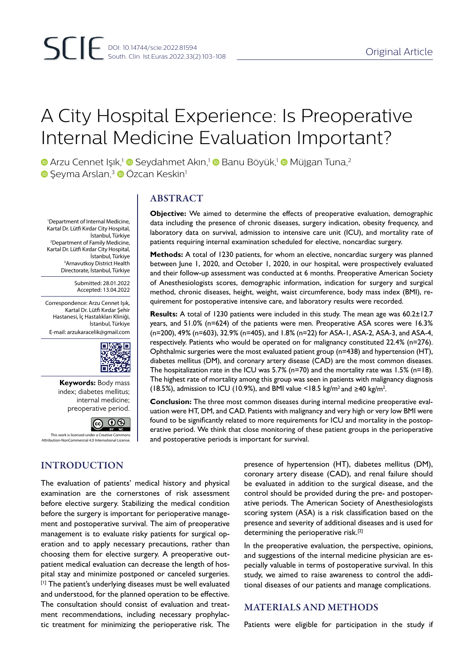# A City Hospital Experience: Is Preoperative Internal Medicine Evaluation Important?

**D** Arzu Cennet Işık,<sup>1</sup> D Seydahmet Akın,<sup>1</sup> D Banu Böyük,<sup>1</sup> D Müjgan Tuna,<sup>2</sup> **G** Seyma Arslan,<sup>3</sup> © Özcan Keskin<sup>1</sup>

1 Department of Internal Medicine, Kartal Dr. Lütfi Kırdar City Hospital, İstanbul, Türkiye 2 Department of Family Medicine, Kartal Dr. Lütfi Kırdar City Hospital, İstanbul, Türkiye 3 Arnavutkoy District Health Directorate, İstanbul, Türkiye

> Submitted: 28.01.2022 Accepted: 13.04.2022

Correspondence: Arzu Cennet Işık, Kartal Dr. Lütfi Kırdar Şehir Hastanesi, İç Hastalıkları Kliniği, İstanbul, Türkiye E-mail: arzukaracelik@gmail.com



**Keywords:** Body mass index; diabetes mellitus; internal medicine; preoperative period.



## INTRODUCTION

ABSTRACT

**Objective:** We aimed to determine the effects of preoperative evaluation, demographic data including the presence of chronic diseases, surgery indication, obesity frequency, and laboratory data on survival, admission to intensive care unit (ICU), and mortality rate of patients requiring internal examination scheduled for elective, noncardiac surgery.

**Methods:** A total of 1230 patients, for whom an elective, noncardiac surgery was planned between June 1, 2020, and October 1, 2020, in our hospital, were prospectively evaluated and their follow-up assessment was conducted at 6 months. Preoperative American Society of Anesthesiologists scores, demographic information, indication for surgery and surgical method, chronic diseases, height, weight, waist circumference, body mass index (BMI), requirement for postoperative intensive care, and laboratory results were recorded.

**Results:** A total of 1230 patients were included in this study. The mean age was 60.2±12.7 years, and 51.0% (n=624) of the patients were men. Preoperative ASA scores were 16.3% (n=200), 49% (n=603), 32.9% (n=405), and 1.8% (n=22) for ASA-1, ASA-2, ASA-3, and ASA-4, respectively. Patients who would be operated on for malignancy constituted 22.4% (n=276). Ophthalmic surgeries were the most evaluated patient group (n=438) and hypertension (HT), diabetes mellitus (DM), and coronary artery disease (CAD) are the most common diseases. The hospitalization rate in the ICU was  $5.7\%$  (n=70) and the mortality rate was 1.5% (n=18). The highest rate of mortality among this group was seen in patients with malignancy diagnosis (18.5%), admission to ICU (10.9%), and BMI value <18.5 kg/m<sup>2</sup> and ≥40 kg/m<sup>2</sup>.

**Conclusion:** The three most common diseases during internal medicine preoperative evaluation were HT, DM, and CAD. Patients with malignancy and very high or very low BMI were found to be significantly related to more requirements for ICU and mortality in the postoperative period. We think that close monitoring of these patient groups in the perioperative and postoperative periods is important for survival.

The evaluation of patients' medical history and physical examination are the cornerstones of risk assessment before elective surgery. Stabilizing the medical condition before the surgery is important for perioperative management and postoperative survival. The aim of preoperative management is to evaluate risky patients for surgical operation and to apply necessary precautions, rather than choosing them for elective surgery. A preoperative outpatient medical evaluation can decrease the length of hospital stay and minimize postponed or canceled surgeries. [1] The patient's underlying diseases must be well evaluated and understood, for the planned operation to be effective. The consultation should consist of evaluation and treatment recommendations, including necessary prophylactic treatment for minimizing the perioperative risk. The

presence of hypertension (HT), diabetes mellitus (DM), coronary artery disease (CAD), and renal failure should be evaluated in addition to the surgical disease, and the control should be provided during the pre- and postoperative periods. The American Society of Anesthesiologists scoring system (ASA) is a risk classification based on the presence and severity of additional diseases and is used for determining the perioperative risk.<sup>[2]</sup>

In the preoperative evaluation, the perspective, opinions, and suggestions of the internal medicine physician are especially valuable in terms of postoperative survival. In this study, we aimed to raise awareness to control the additional diseases of our patients and manage complications.

## MATERIALS AND METHODS

Patients were eligible for participation in the study if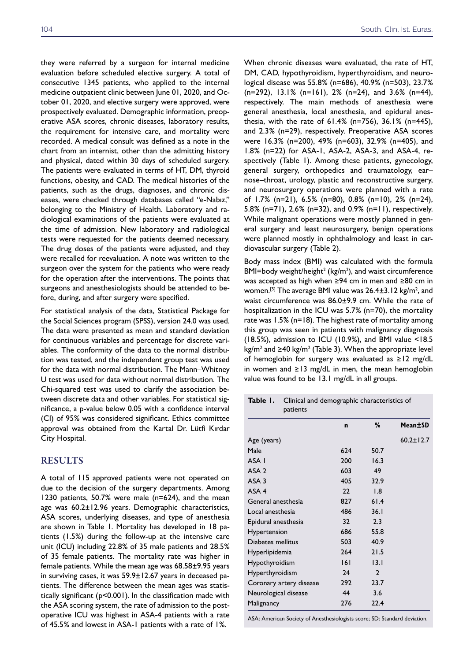they were referred by a surgeon for internal medicine evaluation before scheduled elective surgery. A total of consecutive 1345 patients, who applied to the internal medicine outpatient clinic between June 01, 2020, and October 01, 2020, and elective surgery were approved, were prospectively evaluated. Demographic information, preoperative ASA scores, chronic diseases, laboratory results, the requirement for intensive care, and mortality were recorded. A medical consult was defined as a note in the chart from an internist, other than the admitting history and physical, dated within 30 days of scheduled surgery. The patients were evaluated in terms of HT, DM, thyroid functions, obesity, and CAD. The medical histories of the patients, such as the drugs, diagnoses, and chronic diseases, were checked through databases called "e-Nabız," belonging to the Ministry of Health. Laboratory and radiological examinations of the patients were evaluated at the time of admission. New laboratory and radiological tests were requested for the patients deemed necessary. The drug doses of the patients were adjusted, and they were recalled for reevaluation. A note was written to the surgeon over the system for the patients who were ready for the operation after the interventions. The points that surgeons and anesthesiologists should be attended to before, during, and after surgery were specified.

For statistical analysis of the data, Statistical Package for the Social Sciences program (SPSS), version 24.0 was used. The data were presented as mean and standard deviation for continuous variables and percentage for discrete variables. The conformity of the data to the normal distribution was tested, and the independent group test was used for the data with normal distribution. The Mann–Whitney U test was used for data without normal distribution. The Chi-squared test was used to clarify the association between discrete data and other variables. For statistical significance, a p-value below 0.05 with a confidence interval (CI) of 95% was considered significant. Ethics committee approval was obtained from the Kartal Dr. Lütfi Kırdar City Hospital.

### RESULTS

A total of 115 approved patients were not operated on due to the decision of the surgery departments. Among 1230 patients, 50.7% were male (n=624), and the mean age was 60.2±12.96 years. Demographic characteristics, ASA scores, underlying diseases, and type of anesthesia are shown in Table 1. Mortality has developed in 18 patients (1.5%) during the follow-up at the intensive care unit (ICU) including 22.8% of 35 male patients and 28.5% of 35 female patients. The mortality rate was higher in female patients. While the mean age was 68.58±9.95 years in surviving cases, it was 59.9±12.67 years in deceased patients. The difference between the mean ages was statistically significant (p<0.001). In the classification made with the ASA scoring system, the rate of admission to the postoperative ICU was highest in ASA-4 patients with a rate of 45.5% and lowest in ASA-1 patients with a rate of 1%.

When chronic diseases were evaluated, the rate of HT, DM, CAD, hypothyroidism, hyperthyroidism, and neurological disease was 55.8% (n=686), 40.9% (n=503), 23.7% (n=292), 13.1% (n=161), 2% (n=24), and 3.6% (n=44), respectively. The main methods of anesthesia were general anesthesia, local anesthesia, and epidural anesthesia, with the rate of 61.4% (n=756), 36.1% (n=445), and 2.3% (n=29), respectively. Preoperative ASA scores were 16.3% (n=200), 49% (n=603), 32.9% (n=405), and 1.8% (n=22) for ASA-1, ASA-2, ASA-3, and ASA-4, respectively (Table 1). Among these patients, gynecology, general surgery, orthopedics and traumatology, ear– nose–throat, urology, plastic and reconstructive surgery, and neurosurgery operations were planned with a rate of 1.7% (n=21), 6.5% (n=80), 0.8% (n=10), 2% (n=24), 5.8% (n=71), 2.6% (n=32), and 0.9% (n=11), respectively. While malignant operations were mostly planned in general surgery and least neurosurgery, benign operations were planned mostly in ophthalmology and least in cardiovascular surgery (Table 2).

Body mass index (BMI) was calculated with the formula BMI=body weight/height<sup>2</sup> (kg/m<sup>2</sup>), and waist circumference was accepted as high when ≥94 cm in men and ≥80 cm in women.<sup>[5]</sup> The average BMI value was 26.4±3.12 kg/m<sup>2</sup>, and waist circumference was 86.0±9.9 cm. While the rate of hospitalization in the ICU was 5.7% (n=70), the mortality rate was 1.5% (n=18). The highest rate of mortality among this group was seen in patients with malignancy diagnosis (18.5%), admission to ICU (10.9%), and BMI value <18.5  $\text{kg/m}^2$  and  $\geq$  40 kg/m<sup>2</sup> (Table 3). When the appropriate level of hemoglobin for surgery was evaluated as ≥12 mg/dL in women and ≥13 mg/dL in men, the mean hemoglobin value was found to be 13.1 mg/dL in all groups.

| Table I.<br>Clinical and demographic characteristics of<br>patients |             |              |                 |  |  |
|---------------------------------------------------------------------|-------------|--------------|-----------------|--|--|
|                                                                     | $\mathbf n$ | %            | Mean+SD         |  |  |
| Age (years)                                                         |             |              | $60.2 \pm 12.7$ |  |  |
| Male                                                                | 624         | 50.7         |                 |  |  |
| ASA I                                                               | 200         | 16.3         |                 |  |  |
| ASA <sub>2</sub>                                                    | 603         | 49           |                 |  |  |
| ASA <sub>3</sub>                                                    | 405         | 32.9         |                 |  |  |
| ASA <sub>4</sub>                                                    | 22          | 1.8          |                 |  |  |
| General anesthesia                                                  | 827         | 61.4         |                 |  |  |
| Local anesthesia                                                    | 486         | 36.1         |                 |  |  |
| Epidural anesthesia                                                 | 32          | 2.3          |                 |  |  |
| Hypertension                                                        | 686         | 55.8         |                 |  |  |
| Diabetes mellitus                                                   | 503         | 40.9         |                 |  |  |
| Hyperlipidemia                                                      | 264         | 21.5         |                 |  |  |
| Hypothyroidism                                                      | 6           | 13.1         |                 |  |  |
| Hyperthyroidism                                                     | 24          | $\mathbf{2}$ |                 |  |  |
| Coronary artery disease                                             | 292         | 23.7         |                 |  |  |
| Neurological disease                                                | 44          | 3.6          |                 |  |  |
| Malignancy                                                          | 276         | 22.4         |                 |  |  |

ASA: American Society of Anesthesiologists score; SD: Standard deviation.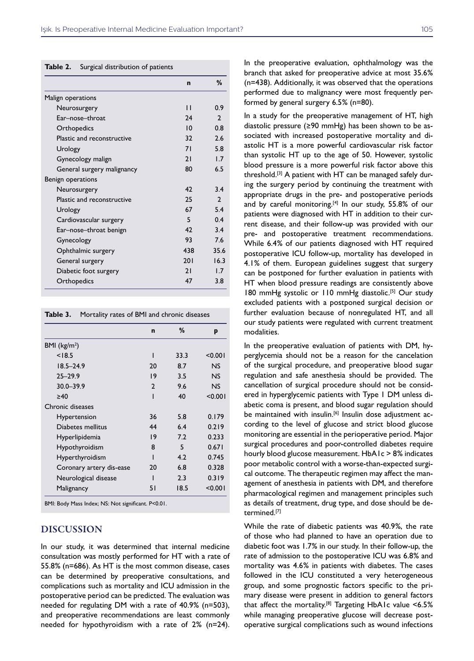**Table 2.** Surgical distribution of patients

|                            | $\mathbf n$ | %             |
|----------------------------|-------------|---------------|
| Malign operations          |             |               |
| Neurosurgery               | П           | 0.9           |
| Ear-nose-throat            | 24          | $\mathcal{P}$ |
| Orthopedics                | 10          | 0.8           |
| Plastic and reconstructive | 32          | 2.6           |
| Urology                    | 71          | 5.8           |
| Gynecology malign          | 21          | 17            |
| General surgery malignancy | 80          | 6.5           |
| Benign operations          |             |               |
| Neurosurgery               | 42          | 3.4           |
| Plastic and reconstructive | 25          | $\mathcal{P}$ |
| Urology                    | 67          | 5.4           |
| Cardiovascular surgery     | 5           | 0.4           |
| Ear-nose-throat benign     | 42          | 3.4           |
| Gynecology                 | 93          | 76            |
| Ophthalmic surgery         | 438         | 35.6          |
| General surgery            | 201         | 16.3          |
| Diabetic foot surgery      | 21          | 1.7           |
| Orthopedics                | 47          | 3.8           |

**Table 3.** Mortality rates of BMI and chronic diseases

|                          | $\mathbf n$  | %    | p              |
|--------------------------|--------------|------|----------------|
| BMI ( $\text{kg/m}^2$ )  |              |      |                |
| < 18.5                   | ı            | 33.3 | < 0.001        |
| $18.5 - 24.9$            | 20           | 8.7  | NS             |
| $25 - 29.9$              | 19           | 3.5  | N <sub>S</sub> |
| $30.0 - 39.9$            | $\mathbf{2}$ | 9.6  | NS             |
| $\geq 40$                | ı            | 40   | < 0.001        |
| Chronic diseases         |              |      |                |
| Hypertension             | 36           | 5.8  | 0.179          |
| Diabetes mellitus        | 44           | 6.4  | 0.219          |
| Hyperlipidemia           | 19           | 7.2  | 0.233          |
| Hypothyroidism           | 8            | 5    | 0.671          |
| Hyperthyroidism          | ı            | 4.2  | 0.745          |
| Coronary artery dis-ease | 20           | 6.8  | 0.328          |
| Neurological disease     | ı            | 2.3  | 0.319          |
| Malignancy               | 51           | 18.5 | < 0.001        |

BMI: Body Mass Index; NS: Not significant. P<0.01.

## DISCUSSION

In our study, it was determined that internal medicine consultation was mostly performed for HT with a rate of 55.8% (n=686). As HT is the most common disease, cases can be determined by preoperative consultations, and complications such as mortality and ICU admission in the postoperative period can be predicted. The evaluation was needed for regulating DM with a rate of 40.9% (n=503), and preoperative recommendations are least commonly needed for hypothyroidism with a rate of 2% (n=24). In the preoperative evaluation, ophthalmology was the branch that asked for preoperative advice at most 35.6% (n=438). Additionally, it was observed that the operations performed due to malignancy were most frequently performed by general surgery 6.5% (n=80).

In a study for the preoperative management of HT, high diastolic pressure (≥90 mmHg) has been shown to be associated with increased postoperative mortality and diastolic HT is a more powerful cardiovascular risk factor than systolic HT up to the age of 50. However, systolic blood pressure is a more powerful risk factor above this threshold.[3] A patient with HT can be managed safely during the surgery period by continuing the treatment with appropriate drugs in the pre- and postoperative periods and by careful monitoring.<sup>[4]</sup> In our study, 55.8% of our patients were diagnosed with HT in addition to their current disease, and their follow-up was provided with our pre- and postoperative treatment recommendations. While 6.4% of our patients diagnosed with HT required postoperative ICU follow-up, mortality has developed in 4.1% of them. European guidelines suggest that surgery can be postponed for further evaluation in patients with HT when blood pressure readings are consistently above 180 mmHg systolic or 110 mmHg diastolic.<sup>[5]</sup> Our study excluded patients with a postponed surgical decision or further evaluation because of nonregulated HT, and all our study patients were regulated with current treatment modalities.

In the preoperative evaluation of patients with DM, hyperglycemia should not be a reason for the cancelation of the surgical procedure, and preoperative blood sugar regulation and safe anesthesia should be provided. The cancellation of surgical procedure should not be considered in hyperglycemic patients with Type 1 DM unless diabetic coma is present, and blood sugar regulation should be maintained with insulin.<sup>[6]</sup> Insulin dose adjustment according to the level of glucose and strict blood glucose monitoring are essential in the perioperative period. Major surgical procedures and poor-controlled diabetes require hourly blood glucose measurement. HbA1c > 8% indicates poor metabolic control with a worse-than-expected surgical outcome. The therapeutic regimen may affect the management of anesthesia in patients with DM, and therefore pharmacological regimen and management principles such as details of treatment, drug type, and dose should be determined.[7]

While the rate of diabetic patients was 40.9%, the rate of those who had planned to have an operation due to diabetic foot was 1.7% in our study. In their follow-up, the rate of admission to the postoperative ICU was 6.8% and mortality was 4.6% in patients with diabetes. The cases followed in the ICU constituted a very heterogeneous group, and some prognostic factors specific to the primary disease were present in addition to general factors that affect the mortality.<sup>[8]</sup> Targeting HbA1c value < $6.5\%$ while managing preoperative glucose will decrease postoperative surgical complications such as wound infections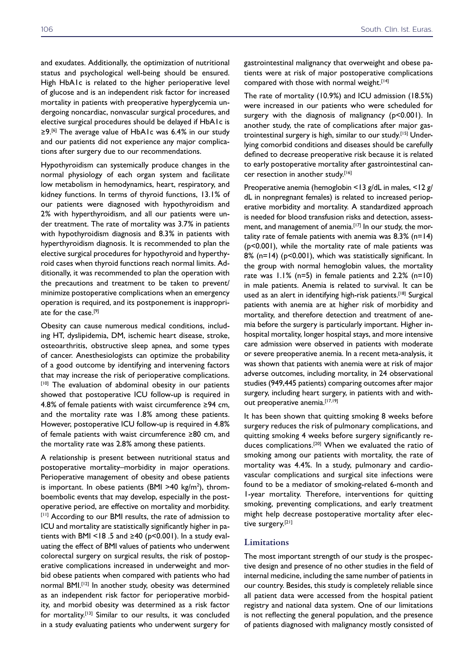and exudates. Additionally, the optimization of nutritional status and psychological well-being should be ensured. High HbA1c is related to the higher perioperative level of glucose and is an independent risk factor for increased mortality in patients with preoperative hyperglycemia undergoing noncardiac, nonvascular surgical procedures, and elective surgical procedures should be delayed if HbA1c is ≥9.[6] The average value of HbA1c was 6.4% in our study and our patients did not experience any major complications after surgery due to our recommendations.

Hypothyroidism can systemically produce changes in the normal physiology of each organ system and facilitate low metabolism in hemodynamics, heart, respiratory, and kidney functions. In terms of thyroid functions, 13.1% of our patients were diagnosed with hypothyroidism and 2% with hyperthyroidism, and all our patients were under treatment. The rate of mortality was 3.7% in patients with hypothyroidism diagnosis and 8.3% in patients with hyperthyroidism diagnosis. It is recommended to plan the elective surgical procedures for hypothyroid and hyperthyroid cases when thyroid functions reach normal limits. Additionally, it was recommended to plan the operation with the precautions and treatment to be taken to prevent/ minimize postoperative complications when an emergency operation is required, and its postponement is inappropriate for the case.<sup>[9]</sup>

Obesity can cause numerous medical conditions, including HT, dyslipidemia, DM, ischemic heart disease, stroke, osteoarthritis, obstructive sleep apnea, and some types of cancer. Anesthesiologists can optimize the probability of a good outcome by identifying and intervening factors that may increase the risk of perioperative complications. [10] The evaluation of abdominal obesity in our patients showed that postoperative ICU follow-up is required in 4.8% of female patients with waist circumference ≥94 cm, and the mortality rate was 1.8% among these patients. However, postoperative ICU follow-up is required in 4.8% of female patients with waist circumference ≥80 cm, and the mortality rate was 2.8% among these patients.

A relationship is present between nutritional status and postoperative mortality–morbidity in major operations. Perioperative management of obesity and obese patients is important. In obese patients (BMI >40 kg/m<sup>2</sup>), thromboembolic events that may develop, especially in the postoperative period, are effective on mortality and morbidity. [11] According to our BMI results, the rate of admission to ICU and mortality are statistically significantly higher in patients with BMI <18 .5 and  $\geq$ 40 (p<0.001). In a study evaluating the effect of BMI values of patients who underwent colorectal surgery on surgical results, the risk of postoperative complications increased in underweight and morbid obese patients when compared with patients who had normal BMI.[12] In another study, obesity was determined as an independent risk factor for perioperative morbidity, and morbid obesity was determined as a risk factor for mortality.[13] Similar to our results, it was concluded in a study evaluating patients who underwent surgery for gastrointestinal malignancy that overweight and obese patients were at risk of major postoperative complications compared with those with normal weight.<sup>[14]</sup>

The rate of mortality (10.9%) and ICU admission (18.5%) were increased in our patients who were scheduled for surgery with the diagnosis of malignancy (p<0.001). In another study, the rate of complications after major gastrointestinal surgery is high, similar to our study.[15] Underlying comorbid conditions and diseases should be carefully defined to decrease preoperative risk because it is related to early postoperative mortality after gastrointestinal cancer resection in another study.[16]

Preoperative anemia (hemoglobin <13 g/dL in males, <12 g/ dL in nonpregnant females) is related to increased perioperative morbidity and mortality. A standardized approach is needed for blood transfusion risks and detection, assessment, and management of anemia.<sup>[17]</sup> In our study, the mortality rate of female patients with anemia was  $8.3\%$  (n=14) (p<0.001), while the mortality rate of male patients was 8% (n=14) (p<0.001), which was statistically significant. In the group with normal hemoglobin values, the mortality rate was 1.1% (n=5) in female patients and 2.2% (n=10) in male patients. Anemia is related to survival. It can be used as an alert in identifying high-risk patients.<sup>[18]</sup> Surgical patients with anemia are at higher risk of morbidity and mortality, and therefore detection and treatment of anemia before the surgery is particularly important. Higher inhospital mortality, longer hospital stays, and more intensive care admission were observed in patients with moderate or severe preoperative anemia. In a recent meta-analysis, it was shown that patients with anemia were at risk of major adverse outcomes, including mortality, in 24 observational studies (949,445 patients) comparing outcomes after major surgery, including heart surgery, in patients with and without preoperative anemia.<sup>[17,19]</sup>

It has been shown that quitting smoking 8 weeks before surgery reduces the risk of pulmonary complications, and quitting smoking 4 weeks before surgery significantly reduces complications.<sup>[20]</sup> When we evaluated the ratio of smoking among our patients with mortality, the rate of mortality was 4.4%. In a study, pulmonary and cardiovascular complications and surgical site infections were found to be a mediator of smoking-related 6-month and 1-year mortality. Therefore, interventions for quitting smoking, preventing complications, and early treatment might help decrease postoperative mortality after elective surgery.<sup>[21]</sup>

#### **Limitations**

The most important strength of our study is the prospective design and presence of no other studies in the field of internal medicine, including the same number of patients in our country. Besides, this study is completely reliable since all patient data were accessed from the hospital patient registry and national data system. One of our limitations is not reflecting the general population, and the presence of patients diagnosed with malignancy mostly consisted of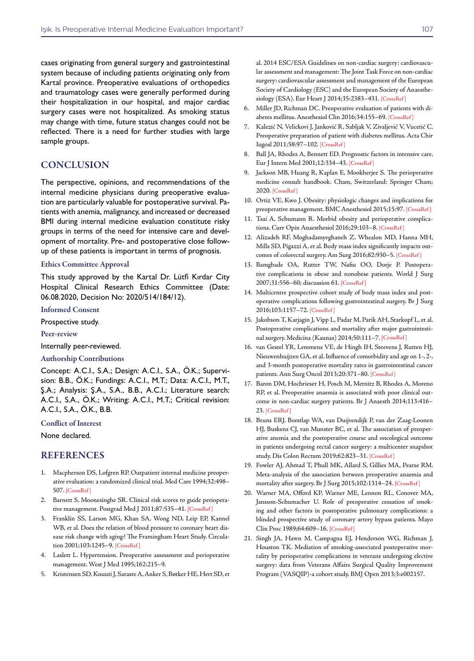cases originating from general surgery and gastrointestinal system because of including patients originating only from Kartal province. Preoperative evaluations of orthopedics and traumatology cases were generally performed during their hospitalization in our hospital, and major cardiac surgery cases were not hospitalized. As smoking status may change with time, future status changes could not be reflected. There is a need for further studies with large sample groups.

#### **CONCLUSION**

The perspective, opinions, and recommendations of the internal medicine physicians during preoperative evaluation are particularly valuable for postoperative survival. Patients with anemia, malignancy, and increased or decreased BMI during internal medicine evaluation constitute risky groups in terms of the need for intensive care and development of mortality. Pre- and postoperative close followup of these patients is important in terms of prognosis.

#### Ethics Committee Approval

This study approved by the Kartal Dr. Lütfi Kırdar City Hospital Clinical Research Ethics Committee (Date: 06.08.2020, Decision No: 2020/514/184/12).

Informed Consent

Prospective study.

Peer-review

Internally peer-reviewed.

#### Authorship Contributions

Concept: A.C.I., S.A.; Design: A.C.I., S.A., Ö.K.; Supervision: B.B., Ö.K.; Fundings: A.C.I., M.T.; Data: A.C.I., M.T., Ş.A.; Analysis: Ş.A., S.A., B.B., A.C.I.; Literature search: A.C.I., S.A., Ö.K.; Writing: A.C.I., M.T.; Critical revision: A.C.I., S.A., Ö.K., B.B.

#### Conflict of Interest

None declared.

#### **REFERENCES**

- 1. Macpherson DS, Lofgren RP. Outpatient internal medicine preoperative evaluation: a randomized clinical trial. Med Care 1994;32:498– 50[7. \[CrossRef \]](https://doi.org/10.1097/00005650-199405000-00008)
- 2. Barnett S, Moonesinghe SR. Clinical risk scores to guide perioperative management. Postgrad Med J 2011;87:535-41. [CrossRef]
- 3. Franklin SS, Larson MG, Khan SA, Wong ND, Leip EP, Kannel WB, et al. Does the relation of blood pressure to coronary heart disease risk change with aging? The Framingham Heart Study. Circulation 2001;103:1245[–9. \[CrossRef \]](https://doi.org/10.1161/01.CIR.103.9.1245)
- 4. Laslett L. Hypertension. Preoperative assessment and perioperative management. West J Med 1995;162:215–9.
- 5. Kristensen SD, Knuuti J, Saraste A, Anker S, Bøtker HE, Hert SD, et

al. 2014 ESC/ESA Guidelines on non-cardiac surgery: cardiovascular assessment and management: The Joint Task Force on non-cardiac surgery: cardiovascular assessment and management of the European Society of Cardiology (ESC) and the European Society of Anaesthesiology (ESA). Eur Heart J 2014;35:2383–4[31. \[CrossRef \]](https://doi.org/10.1093/eurheartj/ehu282)

- 6. Miller JD, Richman DC. Preoperative evaluation of patients with diabetes mellitus. Anesthesiol Clin 2016;34:155–6[9. \[CrossRef \]](https://doi.org/10.1016/j.anclin.2015.10.008)
- 7. Kalezić N, Velickovi J, Janković R, Sabljak V, Zivaljević V, Vucetić C. Preoperative preparation of patient with diabetes mellitus. Acta Chir Iugosl 2011;58:97–102[. \[CrossRef \]](https://doi.org/10.2298/ACI1102097K)
- 8. Ball JA, Rhodes A, Bennett ED. Prognostic factors in intensive care. Eur J Intern Med 2001;12:334–4[3. \[CrossRef \]](https://doi.org/10.1016/S0953-6205(01)00126-1)
- 9. Jackson MB, Huang R, Kaplan E, Mookherjee S. The perioperative medicine consult handbook. Cham, Switzerland: Springer Cham; 202[0. \[CrossRef \]](https://doi.org/10.1007/978-3-030-19704-9)
- 10. Ortiz VE, Kwo J. Obesity: physiologic changes and implications for preoperative management. BMC Anesthesiol 2015;15:[97. \[CrossRef \]](https://doi.org/10.1186/s12871-015-0079-8)
- 11. Tsai A, Schumann R. Morbid obesity and perioperative complications. Curr Opin Anaesthesiol 2016;29:103[–8. \[CrossRef \]](https://doi.org/10.1097/ACO.0000000000000279)
- 12. Alizadeh RF, Moghadamyeghaneh Z, Whealon MD, Hanna MH, Mills SD, Pigazzi A, et al. Body mass index significantly impacts outcomes of colorectal surgery. Am Surg 2016;82:930[–5. \[CrossRef \]](https://doi.org/10.1177/000313481608201015)
- 13. Bamgbade OA, Rutter TW, Nafiu OO, Dorje P. Postoperative complications in obese and nonobese patients. World J Surg 2007;31:556–60; discussion 6[1. \[CrossRef \]](https://doi.org/10.1007/s00268-006-0305-0)
- 14. Multicentre prospective cohort study of body mass index and postoperative complications following gastrointestinal surgery. Br J Surg 2016;103:1157–72[. \[CrossRef \]](https://doi.org/10.1002/bjs.10203)
- 15. Jakobson T, Karjagin J, Vipp L, Padar M, Parik AH, Starkopf L, et al. Postoperative complications and mortality after major gastrointestinal surgery. Medicina (Kaunas) 2014;50:111–[7. \[CrossRef \]](https://doi.org/10.1016/j.medici.2014.06.002)
- 16. van Gestel YR, Lemmens VE, de Hingh IH, Steevens J, Rutten HJ, Nieuwenhuijzen GA, et al. Influence of comorbidity and age on 1-, 2-, and 3-month postoperative mortality rates in gastrointestinal cancer patients. Ann Surg Oncol 2013;20:371-80. [CrossRef]
- 17. Baron DM, Hochrieser H, Posch M, Metnitz B, Rhodes A, Moreno RP, et al. Preoperative anaemia is associated with poor clinical outcome in non-cardiac surgery patients. Br J Anaesth 2014;113:416– 23. [CrossRef]
- 18. Bruns ERJ, Borstlap WA, van Duijvendijk P, van der Zaag-Loonen HJ, Buskens CJ, van Munster BC, et al. The association of preoperative anemia and the postoperative course and oncological outcome in patients undergoing rectal cancer surgery: a multicenter snapshot study. Dis Colon Rectum 2019;62:823–[31. \[CrossRef \]](https://doi.org/10.1097/DCR.0000000000001360)
- 19. Fowler AJ, Ahmad T, Phull MK, Allard S, Gillies MA, Pearse RM. Meta-analysis of the association between preoperative anaemia and mortality after surgery. Br J Surg 2015;102:1314–2[4. \[CrossRef \]](https://doi.org/10.1002/bjs.9861)
- 20. Warner MA, Offord KP, Warner ME, Lennon RL, Conover MA, Jansson-Schumacher U. Role of preoperative cessation of smoking and other factors in postoperative pulmonary complications: a blinded prospective study of coronary artery bypass patients. Mayo Clin Proc 1989;64:609–[16. \[CrossRef \]](https://doi.org/10.1016/S0025-6196(12)65337-3)
- 21. Singh JA, Hawn M, Campagna EJ, Henderson WG, Richman J, Houston TK. Mediation of smoking-associated postoperative mortality by perioperative complications in veterans undergoing elective surgery: data from Veterans Affairs Surgical Quality Improvement Program (VASQIP)-a cohort study. BMJ Open [2013;3:e002157.](https://doi.org/10.1136/bmjopen-2012-002157)